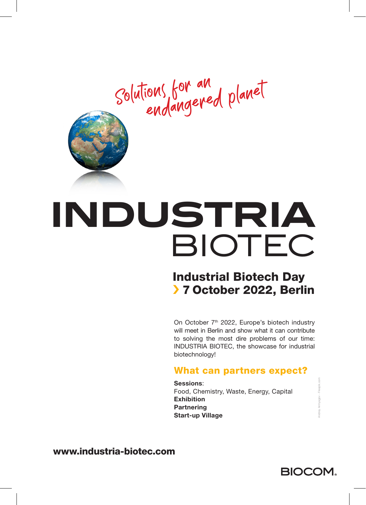Solutions for an endangered planet



# INDUSTRIA BIOTEC

### Industrial Biotech Day › 7 October 2022, Berlin

On October 7<sup>th</sup> 2022, Europe's biotech industry will meet in Berlin and show what it can contribute to solving the most dire problems of our time: INDUSTRIA BIOTEC, the showcase for industrial biotechnology!

#### What can partners expect?

Sessions: Food, Chemistry, Waste, Energy, Capital **Exhibition Partnering** Start-up Village

www.industria-biotec.com